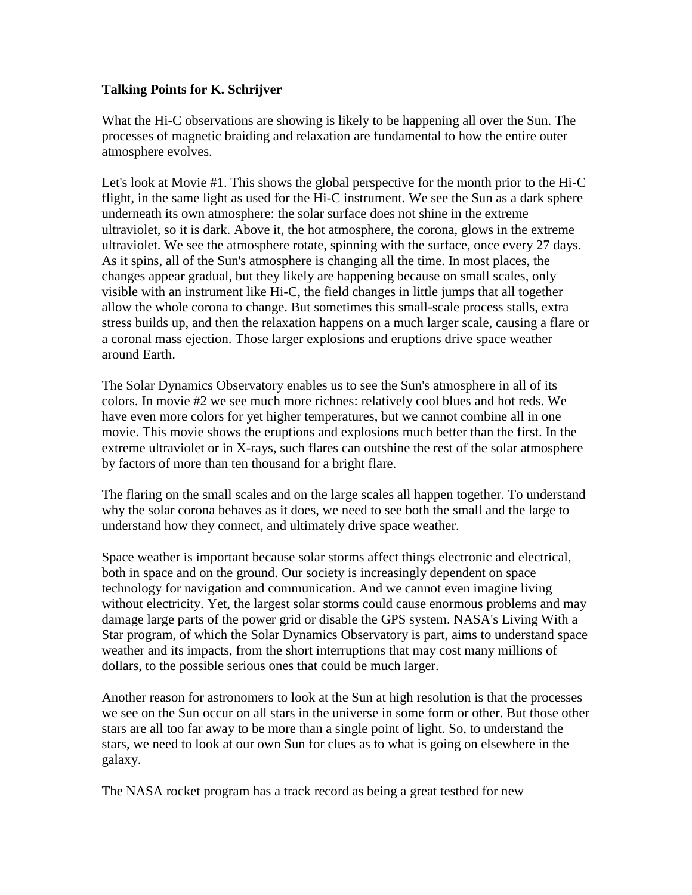## **Talking Points for K. Schrijver**

What the Hi-C observations are showing is likely to be happening all over the Sun. The processes of magnetic braiding and relaxation are fundamental to how the entire outer atmosphere evolves.

Let's look at Movie #1. This shows the global perspective for the month prior to the Hi-C flight, in the same light as used for the Hi-C instrument. We see the Sun as a dark sphere underneath its own atmosphere: the solar surface does not shine in the extreme ultraviolet, so it is dark. Above it, the hot atmosphere, the corona, glows in the extreme ultraviolet. We see the atmosphere rotate, spinning with the surface, once every 27 days. As it spins, all of the Sun's atmosphere is changing all the time. In most places, the changes appear gradual, but they likely are happening because on small scales, only visible with an instrument like Hi-C, the field changes in little jumps that all together allow the whole corona to change. But sometimes this small-scale process stalls, extra stress builds up, and then the relaxation happens on a much larger scale, causing a flare or a coronal mass ejection. Those larger explosions and eruptions drive space weather around Earth.

The Solar Dynamics Observatory enables us to see the Sun's atmosphere in all of its colors. In movie #2 we see much more richnes: relatively cool blues and hot reds. We have even more colors for yet higher temperatures, but we cannot combine all in one movie. This movie shows the eruptions and explosions much better than the first. In the extreme ultraviolet or in X-rays, such flares can outshine the rest of the solar atmosphere by factors of more than ten thousand for a bright flare.

The flaring on the small scales and on the large scales all happen together. To understand why the solar corona behaves as it does, we need to see both the small and the large to understand how they connect, and ultimately drive space weather.

Space weather is important because solar storms affect things electronic and electrical, both in space and on the ground. Our society is increasingly dependent on space technology for navigation and communication. And we cannot even imagine living without electricity. Yet, the largest solar storms could cause enormous problems and may damage large parts of the power grid or disable the GPS system. NASA's Living With a Star program, of which the Solar Dynamics Observatory is part, aims to understand space weather and its impacts, from the short interruptions that may cost many millions of dollars, to the possible serious ones that could be much larger.

Another reason for astronomers to look at the Sun at high resolution is that the processes we see on the Sun occur on all stars in the universe in some form or other. But those other stars are all too far away to be more than a single point of light. So, to understand the stars, we need to look at our own Sun for clues as to what is going on elsewhere in the galaxy.

The NASA rocket program has a track record as being a great testbed for new